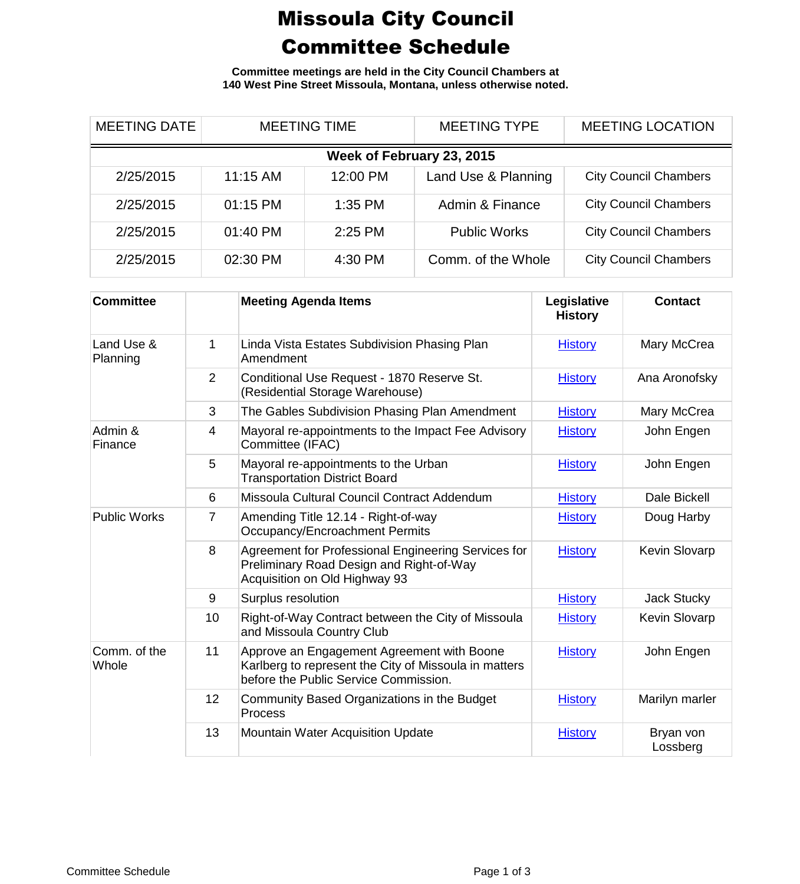## Missoula City Council Committee Schedule

**Committee meetings are held in the City Council Chambers at 140 West Pine Street Missoula, Montana, unless otherwise noted.**

| <b>MEETING DATE</b>       | <b>MEETING TIME</b> |           | <b>MEETING TYPE</b> | <b>MEETING LOCATION</b>      |  |
|---------------------------|---------------------|-----------|---------------------|------------------------------|--|
| Week of February 23, 2015 |                     |           |                     |                              |  |
| 2/25/2015                 | $11:15$ AM          | 12:00 PM  | Land Use & Planning | <b>City Council Chambers</b> |  |
| 2/25/2015                 | 01:15 PM            | 1:35 PM   | Admin & Finance     | <b>City Council Chambers</b> |  |
| 2/25/2015                 | 01:40 PM            | $2:25$ PM | <b>Public Works</b> | <b>City Council Chambers</b> |  |
| 2/25/2015                 | 02:30 PM            | 4:30 PM   | Comm. of the Whole  | <b>City Council Chambers</b> |  |

| <b>Committee</b>       |    | <b>Meeting Agenda Items</b>                                                                                                                  | Legislative<br><b>History</b> | <b>Contact</b>        |
|------------------------|----|----------------------------------------------------------------------------------------------------------------------------------------------|-------------------------------|-----------------------|
| Land Use &<br>Planning | 1  | Linda Vista Estates Subdivision Phasing Plan<br>Amendment                                                                                    | <b>History</b>                | Mary McCrea           |
|                        | 2  | Conditional Use Request - 1870 Reserve St.<br>(Residential Storage Warehouse)                                                                | <b>History</b>                | Ana Aronofsky         |
|                        | 3  | The Gables Subdivision Phasing Plan Amendment                                                                                                | <b>History</b>                | Mary McCrea           |
| Admin &<br>Finance     | 4  | Mayoral re-appointments to the Impact Fee Advisory<br>Committee (IFAC)                                                                       | <b>History</b>                | John Engen            |
|                        | 5  | Mayoral re-appointments to the Urban<br><b>Transportation District Board</b>                                                                 | <b>History</b>                | John Engen            |
|                        | 6  | Missoula Cultural Council Contract Addendum                                                                                                  | <b>History</b>                | Dale Bickell          |
| <b>Public Works</b>    | 7  | Amending Title 12.14 - Right-of-way<br>Occupancy/Encroachment Permits                                                                        | <b>History</b>                | Doug Harby            |
|                        | 8  | Agreement for Professional Engineering Services for<br>Preliminary Road Design and Right-of-Way<br>Acquisition on Old Highway 93             | <b>History</b>                | Kevin Slovarp         |
|                        | 9  | Surplus resolution                                                                                                                           | <b>History</b>                | Jack Stucky           |
|                        | 10 | Right-of-Way Contract between the City of Missoula<br>and Missoula Country Club                                                              | <b>History</b>                | Kevin Slovarp         |
| Comm. of the<br>Whole  | 11 | Approve an Engagement Agreement with Boone<br>Karlberg to represent the City of Missoula in matters<br>before the Public Service Commission. | <b>History</b>                | John Engen            |
|                        | 12 | Community Based Organizations in the Budget<br>Process                                                                                       | <b>History</b>                | Marilyn marler        |
|                        | 13 | <b>Mountain Water Acquisition Update</b>                                                                                                     | <b>History</b>                | Bryan von<br>Lossberg |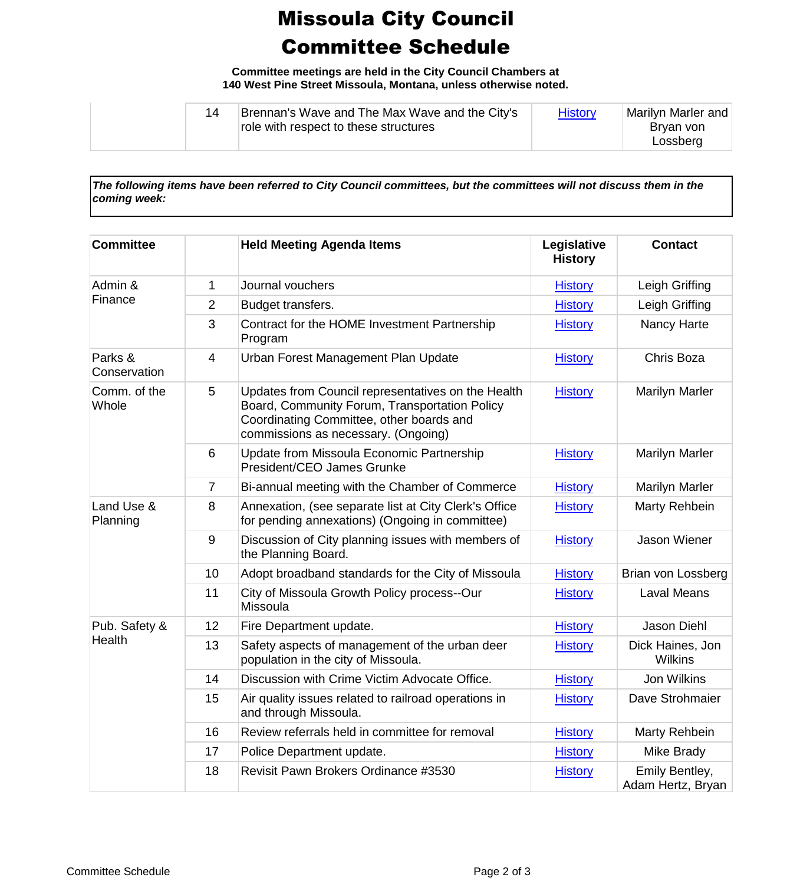## Missoula City Council Committee Schedule

**Committee meetings are held in the City Council Chambers at 140 West Pine Street Missoula, Montana, unless otherwise noted.**

| Brennan's Wave and The Max Wave and the City's<br>role with respect to these structures | <b>History</b> | Marilyn Marler and<br>Brvan von<br>Lossberg |
|-----------------------------------------------------------------------------------------|----------------|---------------------------------------------|
|-----------------------------------------------------------------------------------------|----------------|---------------------------------------------|

*The following items have been referred to City Council committees, but the committees will not discuss them in the coming week:*

| <b>Committee</b>        |                | <b>Held Meeting Agenda Items</b>                                                                                                                                                       | Legislative<br><b>History</b> | <b>Contact</b>                      |
|-------------------------|----------------|----------------------------------------------------------------------------------------------------------------------------------------------------------------------------------------|-------------------------------|-------------------------------------|
| Admin &<br>Finance      | 1              | Journal vouchers                                                                                                                                                                       | <b>History</b>                | Leigh Griffing                      |
|                         | 2              | Budget transfers.                                                                                                                                                                      | <b>History</b>                | Leigh Griffing                      |
|                         | 3              | Contract for the HOME Investment Partnership<br>Program                                                                                                                                | <b>History</b>                | Nancy Harte                         |
| Parks &<br>Conservation | $\overline{4}$ | Urban Forest Management Plan Update                                                                                                                                                    | <b>History</b>                | Chris Boza                          |
| Comm. of the<br>Whole   | 5              | Updates from Council representatives on the Health<br>Board, Community Forum, Transportation Policy<br>Coordinating Committee, other boards and<br>commissions as necessary. (Ongoing) | <b>History</b>                | <b>Marilyn Marler</b>               |
|                         | 6              | Update from Missoula Economic Partnership<br>President/CEO James Grunke                                                                                                                | <b>History</b>                | <b>Marilyn Marler</b>               |
|                         | 7              | Bi-annual meeting with the Chamber of Commerce                                                                                                                                         | <b>History</b>                | <b>Marilyn Marler</b>               |
| Land Use &<br>Planning  | 8              | Annexation, (see separate list at City Clerk's Office<br>for pending annexations) (Ongoing in committee)                                                                               | <b>History</b>                | Marty Rehbein                       |
|                         | 9              | Discussion of City planning issues with members of<br>the Planning Board.                                                                                                              | <b>History</b>                | Jason Wiener                        |
|                         | 10             | Adopt broadband standards for the City of Missoula                                                                                                                                     | <b>History</b>                | Brian von Lossberg                  |
|                         | 11             | City of Missoula Growth Policy process--Our<br>Missoula                                                                                                                                | <b>History</b>                | <b>Laval Means</b>                  |
| Pub. Safety &<br>Health | 12             | Fire Department update.                                                                                                                                                                | <b>History</b>                | Jason Diehl                         |
|                         | 13             | Safety aspects of management of the urban deer<br>population in the city of Missoula.                                                                                                  | <b>History</b>                | Dick Haines, Jon<br><b>Wilkins</b>  |
|                         | 14             | Discussion with Crime Victim Advocate Office.                                                                                                                                          | <b>History</b>                | <b>Jon Wilkins</b>                  |
|                         | 15             | Air quality issues related to railroad operations in<br>and through Missoula.                                                                                                          | <b>History</b>                | Dave Strohmaier                     |
|                         | 16             | Review referrals held in committee for removal                                                                                                                                         | <b>History</b>                | Marty Rehbein                       |
|                         | 17             | Police Department update.                                                                                                                                                              | <b>History</b>                | Mike Brady                          |
|                         | 18             | Revisit Pawn Brokers Ordinance #3530                                                                                                                                                   | <b>History</b>                | Emily Bentley,<br>Adam Hertz, Bryan |